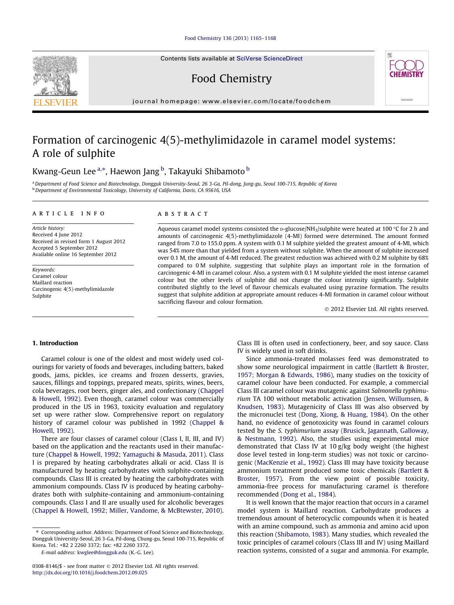## [Food Chemistry 136 \(2013\) 1165–1168](http://dx.doi.org/10.1016/j.foodchem.2012.09.025)

Contents lists available at [SciVerse ScienceDirect](http://www.sciencedirect.com/science/journal/03088146)

# Food Chemistry



journal homepage: [www.elsevier.com/locate/foodchem](http://www.elsevier.com/locate/foodchem)

# Formation of carcinogenic 4(5)-methylimidazole in caramel model systems: A role of sulphite

Kwang-Geun Lee <sup>a,</sup>\*, Haewon Jang <sup>b</sup>, Takayuki Shibamoto <sup>b</sup>

a Department of Food Science and Biotechnology, Dongguk University-Seoul, 26 3-Ga, Pil-dong, Jung-gu, Seoul 100-715, Republic of Korea <sup>b</sup> Department of Environmental Toxicology, University of California, Davis, CA 95616, USA

### article info

Article history: Received 4 June 2012 Received in revised form 1 August 2012 Accepted 5 September 2012 Available online 16 September 2012

Keywords: Caramel colour Maillard reaction Carcinogenic 4(5)-methylimidazole Sulphite

## **ABSTRACT**

Aqueous caramel model systems consisted the p-glucose/NH<sub>3</sub>/sulphite were heated at 100 °C for 2 h and amounts of carcinogenic 4(5)-methylimidazole (4-MI) formed were determined. The amount formed ranged from 7.0 to 155.0 ppm. A system with 0.1 M sulphite yielded the greatest amount of 4-MI, which was 54% more than that yielded from a system without sulphite. When the amount of sulphite increased over 0.1 M, the amount of 4-MI reduced. The greatest reduction was achieved with 0.2 M sulphite by 68% compared to 0 M sulphite, suggesting that sulphite plays an important role in the formation of carcinogenic 4-MI in caramel colour. Also, a system with 0.1 M sulphite yielded the most intense caramel colour but the other levels of sulphite did not change the colour intensity significantly. Sulphite contributed slightly to the level of flavour chemicals evaluated using pyrazine formation. The results suggest that sulphite addition at appropriate amount reduces 4-MI formation in caramel colour without sacrificing flavour and colour formation.

2012 Elsevier Ltd. All rights reserved.

# 1. Introduction

Caramel colour is one of the oldest and most widely used colourings for variety of foods and beverages, including batters, baked goods, jams, pickles, ice creams and frozen desserts, gravies, sauces, fillings and toppings, prepared meats, spirits, wines, beers, cola beverages, root beers, ginger ales, and confectionary [\(Chappel](#page-3-0) [& Howell, 1992](#page-3-0)). Even though, caramel colour was commercially produced in the US in 1963, toxicity evaluation and regulatory set up were rather slow. Comprehensive report on regulatory history of caramel colour was published in 1992 [\(Chappel &](#page-3-0) [Howell, 1992\)](#page-3-0).

There are four classes of caramel colour (Class I, II, III, and IV) based on the application and the reactants used in their manufacture ([Chappel & Howell, 1992; Yamaguchi & Masuda, 2011](#page-3-0)). Class I is prepared by heating carbohydrates alkali or acid. Class II is manufactured by heating carbohydrates with sulphite-containing compounds. Class III is created by heating the carbohydrates with ammonium compounds. Class IV is produced by heating carbohydrates both with sulphite-containing and ammonium-containing compounds. Class I and II are usually used for alcoholic beverages ([Chappel & Howell, 1992; Miller, Vandome, & McBtewster, 2010\)](#page-3-0).

⇑ Corresponding author. Address: Department of Food Science and Biotechnology, Dongguk University-Seoul, 26 3-Ga, Pil-dong, Chung-gu, Seoul 100-715, Republic of Korea. Tel.: +82 2 2260 3372; fax: +82 2260 3372.

E-mail address: [kwglee@dongguk.edu](mailto:kwglee@dongguk.edu) (K.-G. Lee).

Class III is often used in confectionery, beer, and soy sauce. Class IV is widely used in soft drinks.

Since ammonia-treated molasses feed was demonstrated to show some neurological impairment in cattle [\(Bartlett & Broster,](#page-3-0) [1957; Morgan & Edwards, 1986\)](#page-3-0), many studies on the toxicity of caramel colour have been conducted. For example, a commercial Class III caramel colour was mutagenic against Salmonella typhimurium TA 100 without metabolic activation ([Jensen, Willumsen, &](#page-3-0) [Knudsen, 1983](#page-3-0)). Mutagenicity of Class III was also observed by the micronuclei test [\(Dong, Xiong, & Huang, 1984\)](#page-3-0). On the other hand, no evidence of genotoxicity was found in caramel colours tested by the S. typhimurium assay ([Brusick, Jagannath, Galloway,](#page-3-0) [& Nestmann, 1992\)](#page-3-0). Also, the studies using experimental mice demonstrated that Class IV at 10 g/kg body weight (the highest dose level tested in long-term studies) was not toxic or carcinogenic [\(MacKenzie et al., 1992\)](#page-3-0). Class III may have toxicity because ammonium treatment produced some toxic chemicals [\(Bartlett &](#page-3-0) [Broster, 1957](#page-3-0)). From the view point of possible toxicity, ammonia-free process for manufacturing caramel is therefore recommended ([Dong et al., 1984](#page-3-0)).

It is well known that the major reaction that occurs in a caramel model system is Maillard reaction. Carbohydrate produces a tremendous amount of heterocyclic compounds when it is heated with an amine compound, such as ammonia and amino acid upon this reaction [\(Shibamoto, 1983](#page-3-0)). Many studies, which revealed the toxic principles of caramel colours (Class III and IV) using Maillard reaction systems, consisted of a sugar and ammonia. For example,

<sup>0308-8146/\$ -</sup> see front matter © 2012 Elsevier Ltd. All rights reserved. <http://dx.doi.org/10.1016/j.foodchem.2012.09.025>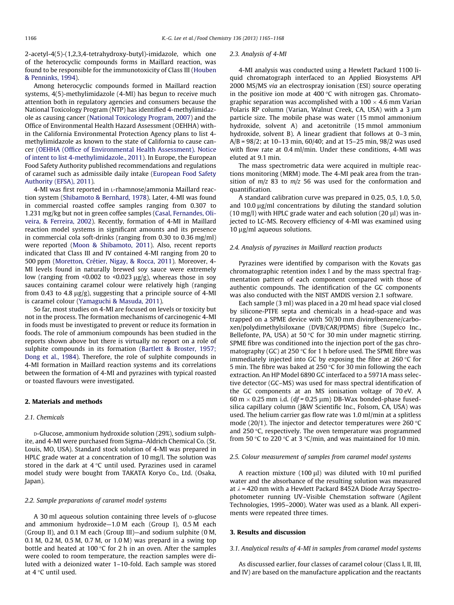2-acetyl-4(5)-(1,2,3,4-tetrahydroxy-butyl)-imidazole, which one of the heterocyclic compounds forms in Maillard reaction, was found to be responsible for the immunotoxicity of Class III [\(Houben](#page-3-0) [& Penninks, 1994\)](#page-3-0).

Among heterocyclic compounds formed in Maillard reaction systems, 4(5)-methylimidazole (4-MI) has begun to receive much attention both in regulatory agencies and consumers because the National Toxicology Program (NTP) has identified 4-methylimidazole as causing cancer [\(National Toxicology Program, 2007\)](#page-3-0) and the Office of Environmental Health Hazard Assessment (OEHHA) within the California Environmental Protection Agency plans to list 4 methylimidazole as known to the state of California to cause cancer [\(OEHHA \(Office of Environmental Health Assessment\). Notice](#page-3-0) [of intent to list 4-methylimidazole., 2011\)](#page-3-0). In Europe, the European Food Safety Authority published recommendations and regulations of caramel such as admissible daily intake [\(European Food Safety](#page-3-0) [Authority \(EFSA\), 2011\)](#page-3-0).

4-MI was first reported in L-rhamnose/ammonia Maillard reaction system ([Shibamoto & Bernhard, 1978](#page-3-0)). Later, 4-MI was found in commercial roasted coffee samples ranging from 0.307 to 1.231 mg/kg but not in green coffee samples ([Casal, Fernandes, Oli](#page-3-0)[veira, & Ferreira, 2002](#page-3-0)). Recently, formation of 4-MI in Maillard reaction model systems in significant amounts and its presence in commercial cola soft-drinks (ranging from 0.30 to 0.36 mg/ml) were reported ([Moon & Shibamoto, 2011](#page-3-0)). Also, recent reports indicated that Class III and IV contained 4-MI ranging from 20 to 500 ppm ([Moretton, Crétier, Nigay, & Rocca, 2011\)](#page-3-0). Moreover, 4- MI levels found in naturally brewed soy sauce were extremely low (ranging from <0.002 to <0.023  $\mu$ g/g), whereas those in soy sauces containing caramel colour were relatively high (ranging from 0.43 to 4.8  $\mu$ g/g), suggesting that a principle source of 4-MI is caramel colour ([Yamaguchi & Masuda, 2011\)](#page-3-0).

So far, most studies on 4-MI are focused on levels or toxicity but not in the process. The formation mechanisms of carcinogenic 4-MI in foods must be investigated to prevent or reduce its formation in foods. The role of ammonium compounds has been studied in the reports shown above but there is virtually no report on a role of sulphite compounds in its formation ([Bartlett & Broster, 1957;](#page-3-0) [Dong et al., 1984](#page-3-0)). Therefore, the role of sulphite compounds in 4-MI formation in Maillard reaction systems and its correlations between the formation of 4-MI and pyrazines with typical roasted or toasted flavours were investigated.

## 2. Materials and methods

## 2.1. Chemicals

D-Glucose, ammonium hydroxide solution (29%), sodium sulphite, and 4-MI were purchased from Sigma–Aldrich Chemical Co. (St. Louis, MO, USA). Standard stock solution of 4-MI was prepared in HPLC grade water at a concentration of 10 mg/l. The solution was stored in the dark at 4  $^\circ\textsf{C}$  until used. Pyrazines used in caramel model study were bought from TAKATA Koryo Co., Ltd. (Osaka, Japan).

## 2.2. Sample preparations of caramel model systems

A 30 ml aqueous solution containing three levels of p-glucose and ammonium hydroxide—1.0 M each (Group I), 0.5 M each (Group II), and 0.1 M each (Group III)—and sodium sulphite (0 M, 0.1 M, 0.2 M, 0.5 M, 0.7 M, or 1.0 M) was prepard in a swing top bottle and heated at 100 °C for 2 h in an oven. After the samples were cooled to room temperature, the reaction samples were diluted with a deionized water 1–10-fold. Each sample was stored at 4 °C until used.

#### 2.3. Analysis of 4-MI

4-MI analysis was conducted using a Hewlett Packard 1100 liquid chromatograph interfaced to an Applied Biosystems API 2000 MS/MS via an electrospray ionisation (ESI) source operating in the positive ion mode at 400  $\degree$ C with nitrogen gas. Chromatographic separation was accomplished with a 100  $\times$  4.6 mm Varian Polaris RP column (Varian, Walnut Creek, CA, USA) with a  $3 \mu m$ particle size. The mobile phase was water (15 mmol ammonium hydroxide, solvent A) and acetonitrile (15 mmol ammonium hydroxide, solvent B). A linear gradient that follows at 0–3 min, A/B = 98/2; at 10–13 min, 60/40; and at 15–25 min, 98/2 was used with flow rate at 0.4 ml/min. Under these conditions, 4-MI was eluted at 9.1 min.

The mass spectrometric data were acquired in multiple reactions monitoring (MRM) mode. The 4-MI peak area from the transition of  $m/z$  83 to  $m/z$  56 was used for the conformation and quantification.

A standard calibration curve was prepared in 0.25, 0.5, 1.0, 5.0, and  $10.0 \mu g/ml$  concentrations by diluting the standard solution  $(10 \text{ mg/l})$  with HPLC grade water and each solution  $(20 \mu l)$  was injected to LC-MS. Recovery efficiency of 4-MI was examined using  $10 \mu$ g/ml aqueous solutions.

## 2.4. Analysis of pyrazines in Maillard reaction products

Pyrazines were identified by comparison with the Kovats gas chromatographic retention index I and by the mass spectral fragmentation pattern of each component compared with those of authentic compounds. The identification of the GC components was also conducted with the NIST AMDIS version 2.1 software.

Each sample (3 ml) was placed in a 20 ml head space vial closed by silicone-PTFE septa and chemicals in a head-space and was trapped on a SPME device with 50/30 mm divinylbenzene/carboxen/polydimethylsiloxane (DVB/CAR/PDMS) fibre (Supelco Inc., Bellefonte, PA, USA) at 50  $\degree$ C for 30 min under magnetic stirring. SPME fibre was conditioned into the injection port of the gas chromatography (GC) at 250  $\degree$ C for 1 h before used. The SPME fibre was immediately injected into GC by exposing the fibre at  $260 °C$  for 5 min. The fibre was baked at 250  $\degree$ C for 30 min following the each extraction. An HP Model 6890 GC interfaced to a 5971A mass selective detector (GC–MS) was used for mass spectral identification of the GC components at an MS ionisation voltage of 70 eV. A  $60 \text{ m} \times 0.25 \text{ mm}$  i.d. (df = 0.25  $\mu$ m) DB-Wax bonded-phase fusedsilica capillary column (J&W Scientific Inc., Folsom, CA, USA) was used. The helium carrier gas flow rate was 1.0 ml/min at a splitless mode (20/1). The injector and detector temperatures were 260  $\degree$ C and  $250$  °C, respectively. The oven temperature was programmed from 50 °C to 220 °C at 3 °C/min, and was maintained for 10 min.

#### 2.5. Colour measurement of samples from caramel model systems

A reaction mixture (100  $\mu$ I) was diluted with 10 ml purified water and the absorbance of the resulting solution was measured at  $\lambda$  = 420 nm with a Hewlett Packard 8452A Diode Array Spectrophotometer running UV–Visible Chemstation software (Agilent Technologies, 1995–2000). Water was used as a blank. All experiments were repeated three times.

## 3. Results and discussion

## 3.1. Analytical results of 4-MI in samples from caramel model systems

As discussed earlier, four classes of caramel colour (Class I, II, III, and IV) are based on the manufacture application and the reactants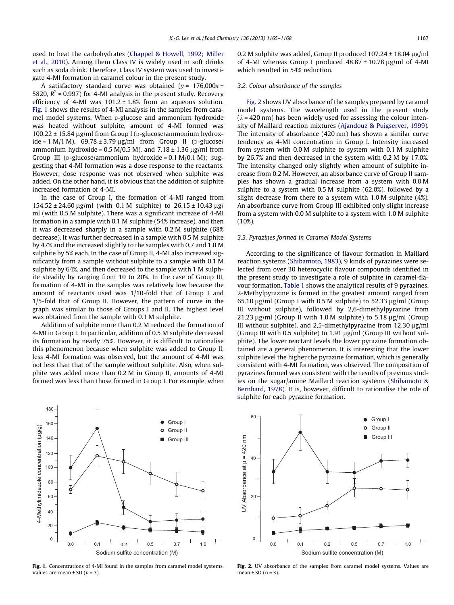used to heat the carbohydrates [\(Chappel & Howell, 1992; Miller](#page-3-0) [et al., 2010](#page-3-0)). Among them Class IV is widely used in soft drinks such as soda drink. Therefore, Class IV system was used to investigate 4-MI formation in caramel colour in the present study.

A satisfactory standard curve was obtained ( $y = 176,000x +$ 5820,  $R^2$  = 0.997) for 4-MI analysis in the present study. Recovery efficiency of 4-MI was  $101.2 \pm 1.8\%$  from an aqueous solution. Fig. 1 shows the results of 4-MI analysis in the samples from caramel model systems. When p-glucose and ammonium hydroxide was heated without sulphite, amount of 4-MI formed was  $100.22 \pm 15.84$  µg/ml from Group I (p-glucose/ammonium hydroxide = 1 M/1 M),  $69.78 \pm 3.79 \,\mu g/ml$  from Group II (p-glucose/ ammonium hydroxide = 0.5 M/0.5 M), and  $7.18 \pm 1.36$  µg/ml from Group III ( $p$ -glucose/ammonium hydroxide = 0.1 M/0.1 M); suggesting that 4-MI formation was a dose response to the reactants. However, dose response was not observed when sulphite was added. On the other hand, it is obvious that the addition of sulphite increased formation of 4-MI.

In the case of Group I, the formation of 4-MI ranged from  $154.52 \pm 24.60 \,\mu$ g/ml (with 0.1 M sulphite) to  $26.15 \pm 10.43 \,\mu$ g/ ml (with 0.5 M sulphite). There was a significant increase of 4-MI formation in a sample with 0.1 M sulphite (54% increase), and then it was decreased sharply in a sample with 0.2 M sulphite (68% decrease). It was further decreased in a sample with 0.5 M sulphite by 47% and the increased slightly to the samples with 0.7 and 1.0 M sulphite by 5% each. In the case of Group II, 4-MI also increased significantly from a sample without sulphite to a sample with 0.1 M sulphite by 64%, and then decreased to the sample with 1 M sulphite steadily by ranging from 10 to 20%. In the case of Group III, formation of 4-MI in the samples was relatively low because the amount of reactants used was 1/10-fold that of Group I and 1/5-fold that of Group II. However, the pattern of curve in the graph was similar to those of Groups I and II. The highest level was obtained from the sample with 0.1 M sulphite.

Addition of sulphite more than 0.2 M reduced the formation of 4-MI in Group I. In particular, addition of 0.5 M sulphite decreased its formation by nearly 75%. However, it is difficult to rationalise this phenomenon because when sulphite was added to Group II, less 4-MI formation was observed, but the amount of 4-MI was not less than that of the sample without sulphite. Also, when sulphite was added more than 0.2 M in Group II, amounts of 4-MI formed was less than those formed in Group I. For example, when



Fig. 1. Concentrations of 4-MI found in the samples from caramel model systems. Values are mean  $\pm$  SD ( $n = 3$ ).

0.2 M sulphite was added, Group II produced  $107.24 \pm 18.04$  ug/ml of 4-MI whereas Group I produced  $48.87 \pm 10.78$  ug/ml of 4-MI which resulted in 54% reduction.

## 3.2. Colour absorbance of the samples

Fig. 2 shows UV absorbance of the samples prepared by caramel model systems. The wavelength used in the present study  $(\lambda = 420 \text{ nm})$  has been widely used for assessing the colour intensity of Maillard reaction mixtures ([Ajandouz & Puigserver, 1999\)](#page-3-0). The intensity of absorbance (420 nm) has shown a similar curve tendency as 4-MI concentration in Group I. Intensity increased from system with 0.0 M sulphite to system with 0.1 M sulphite by 26.7% and then decreased in the system with 0.2 M by 17.0%. The intensity changed only slightly when amount of sulphite increase from 0.2 M. However, an absorbance curve of Group II samples has shown a gradual increase from a system with 0.0 M sulphite to a system with 0.5 M sulphite (62.0%), followed by a slight decrease from there to a system with 1.0 M sulphite (4%). An absorbance curve from Group III exhibited only slight increase from a system with 0.0 M sulphite to a system with 1.0 M sulphite (10%).

## 3.3. Pyrazines formed in Caramel Model Systems

According to the significance of flavour formation in Maillard reaction systems ([Shibamoto, 1983](#page-3-0)), 9 kinds of pyrazines were selected from over 30 heterocyclic flavour compounds identified in the present study to investigate a role of sulphite in caramel-flavour formation. [Table 1](#page-3-0) shows the analytical results of 9 pyrazines. 2-Methylpyrazine is formed in the greatest amount ranged from 65.10  $\mu$ g/ml (Group I with 0.5 M sulphite) to 52.33  $\mu$ g/ml (Group III without sulphite), followed by 2,6-dimethylpyrazine from 21.23  $\mu$ g/ml (Group II with 1.0 M sulphite) to 5.18  $\mu$ g/ml (Group III without sulphite), and 2,5-dimethylpyrazine from  $12.30 \mu$ g/ml (Group III with 0.5 sulphite) to 1.91  $\mu$ g/ml (Group III without sulphite). The lower reactant levels the lower pyrazine formation obtained are a general phenomenon. It is interesting that the lower sulphite level the higher the pyrazine formation, which is generally consistent with 4-MI formation, was observed. The composition of pyrazines formed was consistent with the results of previous studies on the sugar/amine Maillard reaction systems ([Shibamoto &](#page-3-0) [Bernhard, 1978](#page-3-0)). It is, however, difficult to rationalise the role of sulphite for each pyrazine formation.



Fig. 2. UV absorbance of the samples from caramel model systems. Values are mean  $\pm$  SD (n = 3).